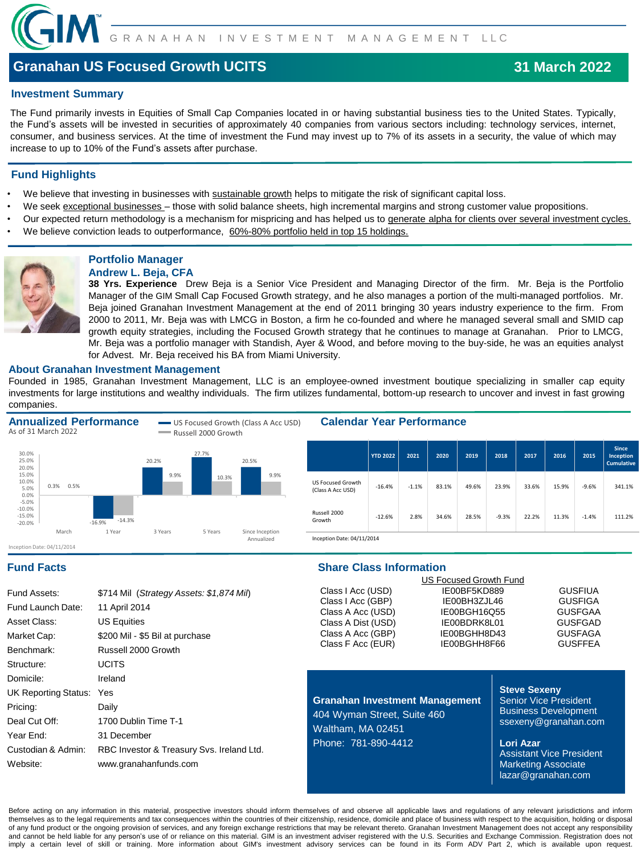

# **Granahan US Focused Growth UCITS**

### **Investment Summary**

The Fund primarily invests in Equities of Small Cap Companies located in or having substantial business ties to the United States. Typically, the Fund's assets will be invested in securities of approximately 40 companies from various sectors including: technology services, internet, consumer, and business services. At the time of investment the Fund may invest up to 7% of its assets in a security, the value of which may increase to up to 10% of the Fund's assets after purchase.

#### **Fund Highlights**

- We believe that investing in businesses with sustainable growth helps to mitigate the risk of significant capital loss.
- We seek exceptional businesses those with solid balance sheets, high incremental margins and strong customer value propositions.
- Our expected return methodology is a mechanism for mispricing and has helped us to generate alpha for clients over several investment cycles.
- We believe conviction leads to outperformance, 60%-80% portfolio held in top 15 holdings.



### **Portfolio Manager Andrew L. Beja, CFA**

**38 Yrs. Experience** Drew Beja is a Senior Vice President and Managing Director of the firm. Mr. Beja is the Portfolio Manager of the GIM Small Cap Focused Growth strategy, and he also manages a portion of the multi-managed portfolios. Mr. Beja joined Granahan Investment Management at the end of 2011 bringing 30 years industry experience to the firm. From 2000 to 2011, Mr. Beja was with LMCG in Boston, a firm he co-founded and where he managed several small and SMID cap growth equity strategies, including the Focused Growth strategy that he continues to manage at Granahan. Prior to LMCG, Mr. Beja was a portfolio manager with Standish, Ayer & Wood, and before moving to the buy-side, he was an equities analyst for Advest. Mr. Beja received his BA from Miami University.

#### **About Granahan Investment Management**

Founded in 1985, Granahan Investment Management, LLC is an employee-owned investment boutique specializing in smaller cap equity investments for large institutions and wealthy individuals. The firm utilizes fundamental, bottom-up research to uncover and invest in fast growing companies.



| \$714 Mil (Strategy Assets: \$1,874 Mil)  |
|-------------------------------------------|
| 11 April 2014                             |
| <b>US Equities</b>                        |
| \$200 Mil - \$5 Bil at purchase           |
| Russell 2000 Growth                       |
| <b>UCITS</b>                              |
| Ireland                                   |
| Yes                                       |
| Daily                                     |
| 1700 Dublin Time T-1                      |
| 31 December                               |
| RBC Investor & Treasury Svs. Ireland Ltd. |
| www.granahanfunds.com                     |
|                                           |

## **Fund Facts Share Class Information**

|                    | <b>US Focused Growth Fund</b> |                |
|--------------------|-------------------------------|----------------|
| Class I Acc (USD)  | IE00BF5KD889                  | <b>GUSFIUA</b> |
| Class I Acc (GBP)  | IE00BH3ZJL46                  | <b>GUSFIGA</b> |
| Class A Acc (USD)  | IE00BGH16Q55                  | <b>GUSFGAA</b> |
| Class A Dist (USD) | IE00BDRK8L01                  | <b>GUSFGAD</b> |
| Class A Acc (GBP)  | IE00BGHH8D43                  | <b>GUSFAGA</b> |
| Class F Acc (EUR)  | IE00BGHH8F66                  | <b>GUSFFEA</b> |
|                    |                               |                |

**Granahan Investment Management** 404 Wyman Street, Suite 460 Waltham, MA 02451 Phone: 781-890-4412

#### **Steve Sexeny**

Senior Vice President Business Development ssexeny@granahan.com

**Lori Azar** Assistant Vice President Marketing Associate lazar@granahan.com

Before acting on any information in this material, prospective investors should inform themselves of and observe all applicable laws and regulations of any relevant jurisdictions and inform themselves as to the legal requirements and tax consequences within the countries of their citizenship, residence, domicile and place of business with respect to the acquisition, holding or disposal of any fund product or the ongoing provision of services, and any foreign exchange restrictions that may be relevant thereto. Granahan Investment Management does not accept any responsibility and cannot be held liable for any person's use of or reliance on this material. GIM is an investment adviser registered with the U.S. Securities and Exchange Commission. Registration does not imply a certain level of skill or training. More information about GIM's investment advisory services can be found in its Form ADV Part 2, which is available upon request.